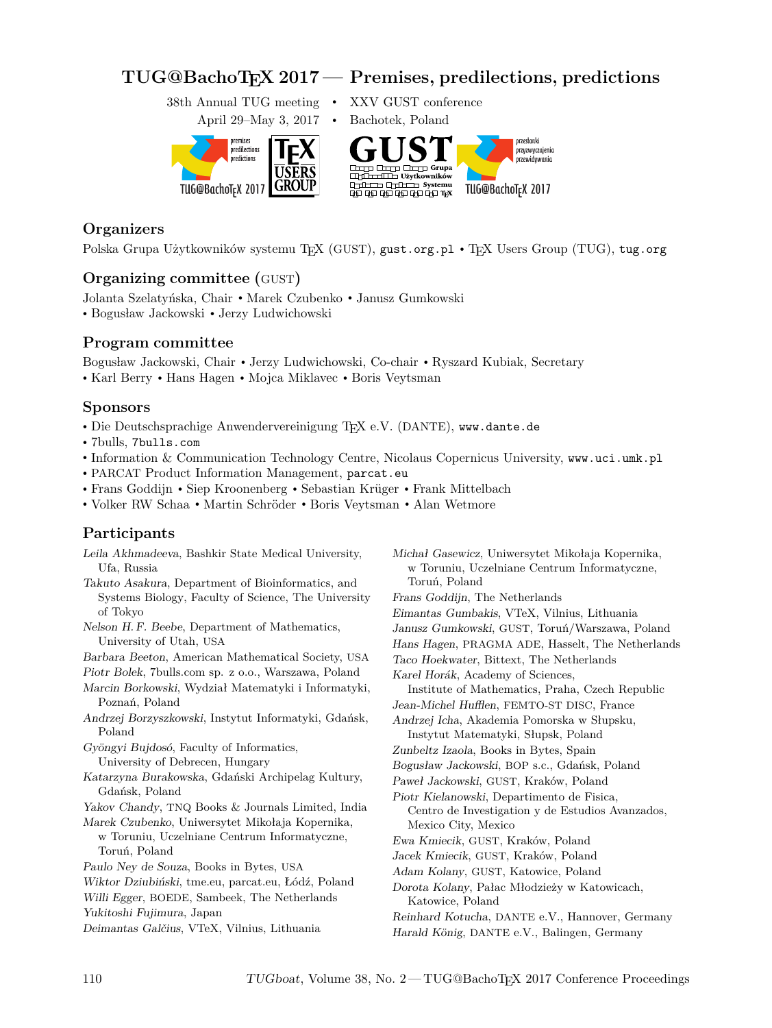# **TUG@BachoTEX 2017 — Premises, predilections, predictions**

38th Annual TUG meeting • XXV GUST conference



## **Organizers**

Polska Grupa Użytkowników systemu TEX (GUST), gust.org.pl • TEX Users Group (TUG), tug.org

## **Organizing committee (**GUST**)**

Jolanta Szelatyńska, Chair • Marek Czubenko • Janusz Gumkowski • Bogusław Jackowski • Jerzy Ludwichowski

### **Program committee**

Bogusław Jackowski, Chair • Jerzy Ludwichowski, Co-chair • Ryszard Kubiak, Secretary • Karl Berry • Hans Hagen • Mojca Miklavec • Boris Veytsman

#### **Sponsors**

- Die Deutschsprachige Anwendervereinigung TEX e.V. (DANTE), www.dante.de
- 7bulls, 7bulls.com
- Information & Communication Technology Centre, Nicolaus Copernicus University, www.uci.umk.pl
- PARCAT Product Information Management, parcat.eu
- Frans Goddijn Siep Kroonenberg Sebastian Krüger Frank Mittelbach
- Volker RW Schaa Martin Schröder Boris Veytsman Alan Wetmore

## **Participants**

| Leila Akhmadeeva, Bashkir State Medical University,  | Michał Gasewicz, Uniwersytet Mikołaja Kopernika, |
|------------------------------------------------------|--------------------------------------------------|
| Ufa, Russia                                          | w Toruniu, Uczelniane Centrum Informatyczne,     |
| Takuto Asakura, Department of Bioinformatics, and    | Toruń, Poland                                    |
| Systems Biology, Faculty of Science, The University  | Frans Goddijn, The Netherlands                   |
| of Tokyo                                             | Eimantas Gumbakis, VTeX, Vilnius, Lithuania      |
| Nelson H.F. Beebe, Department of Mathematics,        | Janusz Gumkowski, GUST, Toruń/Warszawa, Poland   |
| University of Utah, USA                              | Hans Hagen, PRAGMA ADE, Hasselt, The Netherlands |
| Barbara Beeton, American Mathematical Society, USA   | Taco Hoekwater, Bittext, The Netherlands         |
| Piotr Bolek, 7bulls.com sp. z o.o., Warszawa, Poland | Karel Horák, Academy of Sciences,                |
| Marcin Borkowski, Wydział Matematyki i Informatyki,  | Institute of Mathematics, Praha, Czech Republic  |
| Poznań, Poland                                       | Jean-Michel Hufflen, FEMTO-ST DISC, France       |
| Andrzej Borzyszkowski, Instytut Informatyki, Gdańsk, | Andrzej Icha, Akademia Pomorska w Słupsku,       |
| Poland                                               | Instytut Matematyki, Słupsk, Poland              |
| Gyöngyi Bujdosó, Faculty of Informatics,             | Zunbeltz Izaola, Books in Bytes, Spain           |
| University of Debrecen, Hungary                      | Bogusław Jackowski, BOP s.c., Gdańsk, Poland     |
| Katarzyna Burakowska, Gdański Archipelag Kultury,    | Paweł Jackowski, GUST, Kraków, Poland            |
| Gdańsk, Poland                                       | Piotr Kielanowski, Departimento de Fisica,       |
| Yakov Chandy, TNQ Books & Journals Limited, India    | Centro de Investigation y de Estudios Avanzados, |
| Marek Czubenko, Uniwersytet Mikołaja Kopernika,      | Mexico City, Mexico                              |
| w Toruniu, Uczelniane Centrum Informatyczne,         | Ewa Kmiecik, GUST, Kraków, Poland                |
| Toruń, Poland                                        | Jacek Kmiecik, GUST, Kraków, Poland              |
| Paulo Ney de Souza, Books in Bytes, USA              | Adam Kolany, GUST, Katowice, Poland              |
| Wiktor Dziubiński, tme.eu, parcat.eu, Łódź, Poland   | Dorota Kolany, Pałac Młodzieży w Katowicach,     |
| Willi Egger, BOEDE, Sambeek, The Netherlands         | Katowice, Poland                                 |
| Yukitoshi Fujimura, Japan                            | Reinhard Kotucha, DANTE e.V., Hannover, Germany  |
| Deimantas Galčius, VTeX, Vilnius, Lithuania          | Harald König, DANTE e.V., Balingen, Germany      |
|                                                      |                                                  |